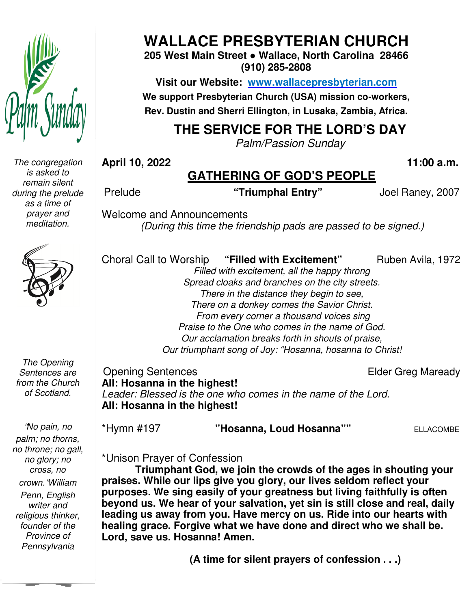

*The congregation is asked to remain silent during the prelude as a time of prayer and meditation.* 



**205 West Main Street ● Wallace, North Carolina 28466 (910) 285-2808** 

**Visit our Website: www.wallacepresbyterian.com** We support Presbyterian Church (USA) mission co-workers, **Rev. Dustin and Sherri Ellington, in Lusaka, Zambia, Africa. Sherri Ellington,** 

## **THE SERVICE FOR THE LORD'S DAY**

*Palm/Passion Sunday* 

**April 10, 2022** 

Choral Call to Worship

## **GATHERING OF GOD'S PEOPLE**

 **11:00 a.m.**

Prelude

**"Triumphal Entry"** 

Joel Raney, 2007

Ruben Avila, 1972

Welcome and Announcements and Announcements*(During this time the friendship pads are passed to be signed.)* 

*The Opening Sentences are from the Church of Scotland.* 

 *founder of the*  "*No pain, no palm; no thorns, no throne; no gall, no glory; no cross, no crown.*"*William Penn, English writer and religious thinker, Province of Pennsylvania* 

*Filled with excitement, all the happy thron throng Spread cloaks and branches on the city streets. There in the distance they begin to see, There on a donkey comes the Savior Christ.*

*From every corner a thousand voices sing*

"Filled with Excitement"

*Praise to the One who comes in the name of God. From every corner a thousand voices sing<br>Praise to the One who comes in the name of God.<br>Our acclamation breaks forth in shouts of praise,<br>Our triumphant song of Joy: "Hosanna, hosanna to Christ!* 

*Our acclamation breaks forth in shouts of praise,*

Elder Greg Maready

Opening Sentences **All: Hosanna in the highest!** *Leader: Blessed is the one who comes in the name of the Lord.*<br>**All: Hosanna in the highest!**<br>\*Hymn #197 "**Hosanna, Loud Hosanna**"" ELLACOMBE **All: Hosanna in the highest!**

\*Hymn #197

\*Unison Prayer of Confession

**Triumphant God, we join the crowds of the ages in shouting your praises. While our lips give you glory, our lives seldom reflect your purposes. We sing easily of your greatness but living faithfully is often beyond us. We hear of your salvation, yet sin is still close and real, daily**  praises. While our lips give you glory, our lives seldom reflect your<br>purposes. We sing easily of your greatness but living faithfully is often<br>beyond us. We hear of your salvation, yet sin is still close and real, dail<br>le **healing grace. Forgive what we have done and direct who we shall be. Lord, save us. Hosanna! Amen.** 10, 2022<br> **We say that the CATHERING OF GOD'S PEOPLE**<br>
"Triumphal Entry" Joel Raney, 2007<br>
We say the mether of the constrained and the constrained and the constrained with excitement" Ruben Avila, 1972<br>
Filled with excite our lips give you glory, our lives seldom reflect<br>sing easily of your greatness but living faithfully<br>**hear of your salvation, yet sin is still close and**<br>y from you. Have mercy on us. Ride into our hear<br>Forgive what we ha

 **(A time for silent prayers of confession . . .)**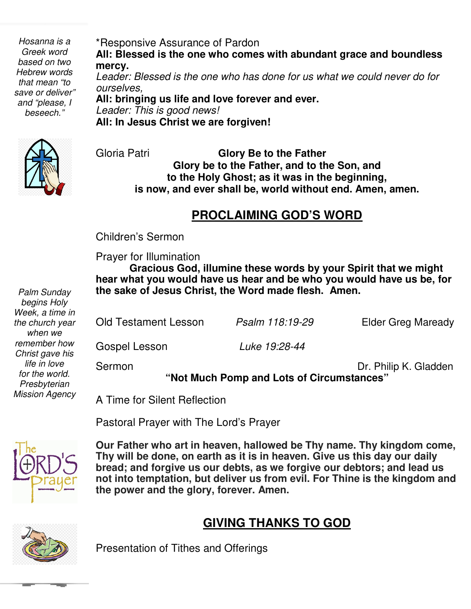*beseech." Hosanna is a Greek word based on two Hebrew words that mean "to save or deliver" and "please, I* 

\*Responsive Assurance of Pardon **All: Blessed is the one who comes with abundant grace and boundless mercy.** *Leader: Blessed is the one who has done for us what we could never do for ourselves,* **All: bringing us life and love forever and ever.**

*Leader: This is good news!* **All: In Jesus Christ we are forgiven!**



 Gloria Patri **Glory Be to the Father Glory be to the Father, and to the Son, and to the Holy Ghost; as it was in the beginning, is now, and ever shall be, world without end. Amen, amen.** 

## **PROCLAIMING GOD'S WORD**

 Children's Sermon

Prayer for Illumination

**Gracious God, illumine these words by your Spirit that we might hear what you would have us hear and be who you would have us be, for the sake of Jesus Christ, the Word made flesh. Amen.** 

Old Testament Lesson *Psalm 118:19-29* Elder Greg Maready Gospel Lesson *Luke 19:28-44* Sermon **Dr. Philip K. Gladden "Not Much Pomp and Lots of Circumstances"** 

A Time for Silent Reflection

Pastoral Prayer with The Lord's Prayer



 **bread; and forgive us our debts, as we forgive our debtors; and lead us Our Father who art in heaven, hallowed be Thy name. Thy kingdom come, Thy will be done, on earth as it is in heaven. Give us this day our daily not into temptation, but deliver us from evil. For Thine is the kingdom and the power and the glory, forever. Amen.** 

## **GIVING THANKS TO GOD**



Presentation of Tithes and Offerings

*Palm Sunday begins Holy Week, a time in the church year when we remember how Christ gave his life in love for the world. Presbyterian Mission Agency*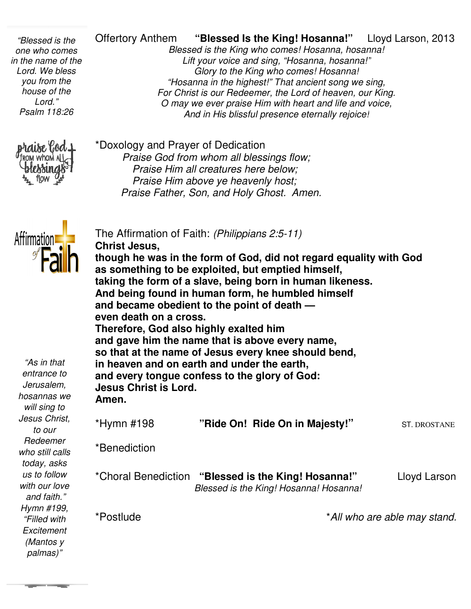*house of the "Blessed is the one who comes in the name of the Lord. We bless you from the Lord." Psalm 118:26* 



Offertory Anthem **"Blessed Is the King! Hosanna!**

Lloyd Larson, 2013

*Blessed is the King who comes! Hosanna, hosanna Lift your voice and sing, "Hosanna, hosanna!" Glory to the King who comes! Hosanna! "Hosanna in the highest!" That ancient son your voice the highest!" song we sing, For Christ is our Redeemer, the Lord of heaven, our King. O may we ever praise Him with heart and life and voice, And in His blissful presence eternally rejoice! Ahe* **Cifertory Anthem "Blessed Is the King! Hosanna!**" Lloyd Larson, 201<br> *Blessed is the King who comes! Hosanna, hosanna!*<br> *Lift your voice and sing, "Hosanna, hosanna!"*<br> *Show to the King who comes! Hosanna!*<br> *Ho* **Blessed is the King who comes! Hosanna, hosanna!** *nrist is our Redeemer, the l<br>y we ever praise Him with<br>And in His blissful presenc* 

\*Doxology and Prayer of Dedication *Praise God from whom all blessings flow; Praise Him all creatures here Praise below; Praise Him above ye heavenly host; Praise Father, Son, and Holy Ghost. Amen. Praise Him above ye heavenly host;<br>aise Father, Son, and Holy Ghost. Ar<br>rmation of Faith: (Philippians 2:5-11)* 

The Affirmation of Faith: *(Philippians 2:5*



| \HHHK\VIF<br>"As in that<br>entrance to<br>Jerusalem,<br>hosannas we | <b>Christ Jesus,</b><br>though he was in the form of God, did not regard equality with God<br>as something to be exploited, but emptied himself,<br>taking the form of a slave, being born in human likeness.<br>And being found in human form, he humbled himself<br>and became obedient to the point of death –<br>even death on a cross.<br>Therefore, God also highly exalted him<br>and gave him the name that is above every name,<br>so that at the name of Jesus every knee should bend,<br>in heaven and on earth and under the earth,<br>and every tongue confess to the glory of God:<br><b>Jesus Christ is Lord.</b> |                                                                                               |                              |  |
|----------------------------------------------------------------------|----------------------------------------------------------------------------------------------------------------------------------------------------------------------------------------------------------------------------------------------------------------------------------------------------------------------------------------------------------------------------------------------------------------------------------------------------------------------------------------------------------------------------------------------------------------------------------------------------------------------------------|-----------------------------------------------------------------------------------------------|------------------------------|--|
| will sing to                                                         | Amen.                                                                                                                                                                                                                                                                                                                                                                                                                                                                                                                                                                                                                            |                                                                                               |                              |  |
| Jesus Christ,<br>to our                                              | *Hymn #198                                                                                                                                                                                                                                                                                                                                                                                                                                                                                                                                                                                                                       | "Ride On! Ride On in Majesty!"                                                                | <b>ST. DROSTANE</b>          |  |
| Redeemer<br>who still calls<br>today, asks                           | *Benediction                                                                                                                                                                                                                                                                                                                                                                                                                                                                                                                                                                                                                     |                                                                                               |                              |  |
| us to follow<br>with our love<br>and faith."                         |                                                                                                                                                                                                                                                                                                                                                                                                                                                                                                                                                                                                                                  | *Choral Benediction "Blessed is the King! Hosanna!"<br>Blessed is the King! Hosanna! Hosanna! | Lloyd Larson                 |  |
| Hymn #199,<br>"Filled with<br>Excitement<br>(Mantos y                | *Postlude                                                                                                                                                                                                                                                                                                                                                                                                                                                                                                                                                                                                                        |                                                                                               | *All who are able may stand. |  |

*palmas)"*